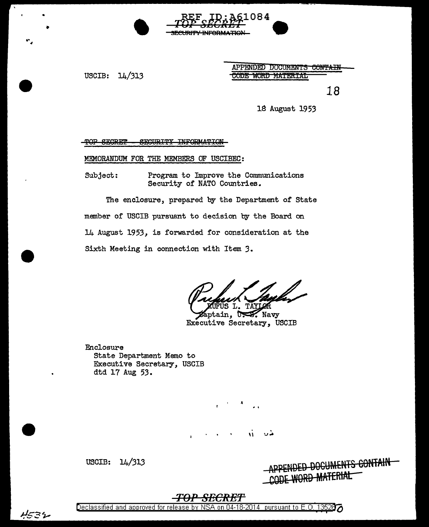$14/313$ USCIB:

APPENDED DOCUMENTS CONTAIN CODE WORD MATERIAL

084

**ORMATION** 

18

18 August 1953

SECURITY INFORMATION TOP SEGRET

MEMORANDUM FOR THE MEMBERS OF USCIBEC:

Subject: Program to Improve the Communications Security of NATO Countries.

The enclosure, prepared by the Department of State member of USCIB pursuant to decision by the Board on 14 August 1953, is forwarded for consideration at the Sixth Meeting in connection with Item 3.

UFUS L. TAYLOR

aptain, US Navy Executive Secretary, USCIB

Enclosure State Department Memo to Executive Secretary, USCIB dtd 17 Aug 53.

W

USCIB: 14/313 D<del>ed Documents contain</del> VORD MATERIAL

### 

4532

Declassified and approved for release by NSA on 04-18-2014 pursuant to E.O. 13526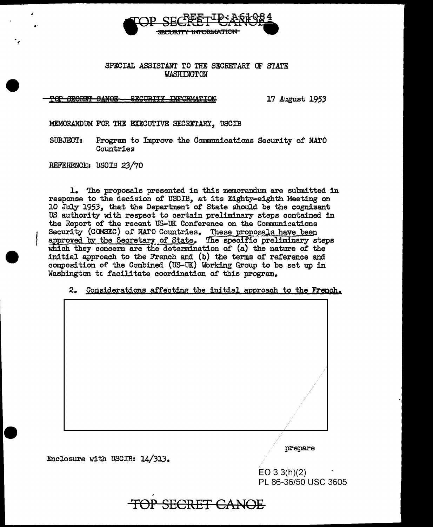

### SPECIAL ASSISTANT TO THE SECRETARY OF STATE **WASHINGTON**

**GEORET CANOE -**SECURITY INFORMATION 17 August 1953

MEMORANDUM FOR THE EXECUTIVE SECRETARY. USCIB

**SUBJECT:** Program to Improve the Communications Security of NATO Countries

REFERENCE: USCIB 23/70

1. The proposals presented in this memorandum are submitted in response to the decision of USCIB, at its Eighty-eighth Meeting on 10 July 1953. that the Department of State should be the cognizant US authority with respect to certain preliminary steps contained in the Report of the recent US-UK Conference on the Communications Security (COMSEC) of NATO Countries. These proposals have been approved by the Secretary of State. The specific preliminary steps which they concern are the determination of (a) the nature of the initial approach to the French and (b) the terms of reference and composition of the Combined (US-UK) Working Group to be set up in Washington to facilitate coordination of this program.

2. Considerations affecting the initial approach to the French.

| prepare |
|---------|

Enclosure with USCIB: 14/313.

 $EO$  3.3(h)(2) PL 86-36/50 USC 3605

SECRET CANOE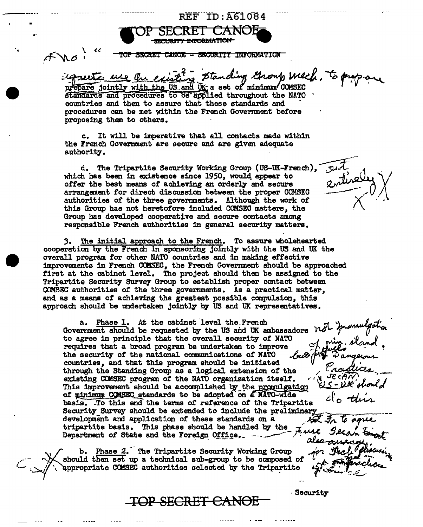**TECURITY INFORMATION<br>
SECRET CANOE - SECURITY INFORMATION** 

**TOP SECRET CANOF** 

agreete use the existing standing Group week. To p prepare jointly with the US and UK a set of minimum COMSEC standards and procedures to be applied throughout the NATO countries and then to assure that these standards and

 $\overline{\tt REF-ID:AG1084}$ 

procedures can be met within the French Government before proposing them to others.

..

,,

c. It will be imperative that all contacts made within the French Government are secure and are given adequate authority-.

d. The Tripartite Security Working Group (US-UK-French), Just which has been in existence since 1950, would appear to offer the best means of achieving an orderly and secure 2 military arrangement for direct discussion between the proper COMSEC authorities of the three governments. Although the work of this Group has not heretofore included CCMSEC matters, the Group has developed cooperative and secure contacts among responsible French authorities in general security matters.

3. The initial approach to the French. To assure wholehearted cooperation by the French in sponsoring jointly with the US and UK the overall program tor other NATO countries and in making effective improvements in French COMSEC, the French Government should be approached first at the cabinet level. The project should then be assigned to the Tripartite Security Survey Group to establish proper contact between COMSEC authorities of' the three governments. As a practical matter, and as a means of achieving the greatest possible compulsion, this approach should be undertaken jointly by US and UK representatives.

a. Phase 1. At the cabinet level the French **covernment** should be requested by the US and UK ambassadors  $\overline{M}$  *i promulgation* to agree in principle that the overall security of NATO requires that a broad program be undertaken to improve  $\mathcal{A}_{\mu}$ ,  $\mathcal{A}_{\mu}$  the security of the national communications of NATO  $\mathcal{A}_{\mu}$ the security of the national communications countries, and that this program should be initiated through the Standing Group as a logical extension of' the \_,- ~-, \_ existing COMSEC program of the NATO organization itself. This improvement should be accomplished by the promulgation of minimum COMSEC standards to be adopted on a NATO-wide basis. To this end the terms of reference of the Tripartite Security Survey should be extended to include the preliminary development and application or these standards on a \_. ~ .\$f\. 'fb '''f'>.LL development and application of these standards on a<br>tripartite basis. This phase should be handled by the Zeran State and the Foreign Office.

 $\sim$   $\sim$  should then set up a technical sub-group to be composed of b. Phase 2. The Tripartite Security Working Group `appropriate COMSEC authorities selected by the Tripartite

**TOP SECRET** CANOE

**Security** 

*'!.* 

not promulgation<br>of priz. sland.

1'. '....

 $\frac{1}{2}$ 

mental<br>2, stand.

 $\frac{1}{2}$ 

·

also concarge is

rect pun

*e.*